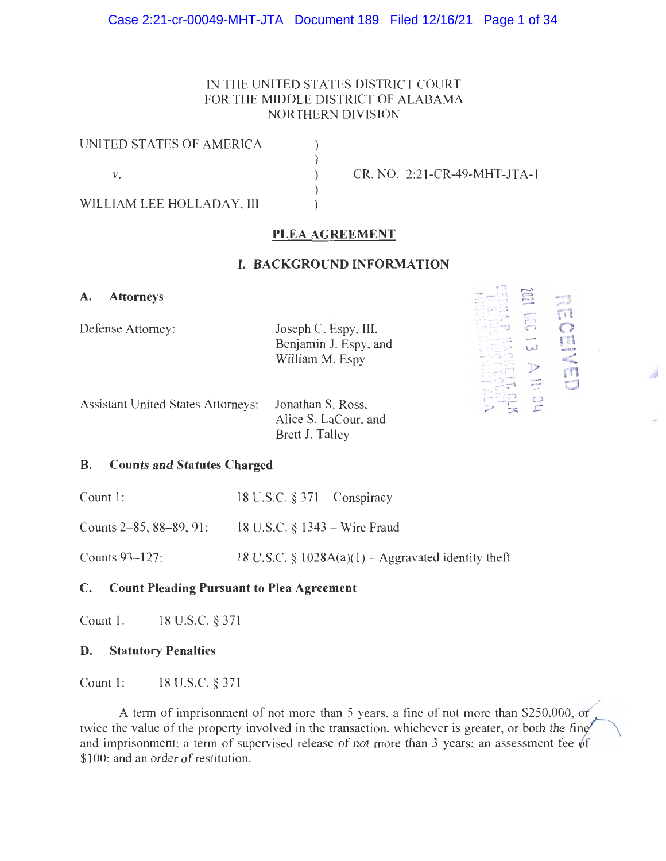## Case 2:21-cr-00049-MHT-JTA Document 189 Filed 12/16/21 Page 1 of 34

# IN THE UNITED STATES DISTRICT COURT FOR THE MIDDLE DISTRICT OF ALABAMA NORTHERN DIVISION

| UNITED STATES OF AMERICA  |                                |
|---------------------------|--------------------------------|
|                           |                                |
|                           | $CR. NO. 2:21-CR-49-MHT-JTA-1$ |
|                           |                                |
| WILLIAM LEE HOLLADAY, III |                                |

# PLEA AGREEMENT

## I. BACKGROUND INFORMATION

A. Attorneys

Defense Attorney:

Joseph C. Espy, III, Benjamin J. Espy, and William M. Espy

t=z m m ana<br>Alian C;)

湯

Assistant United States Attorneys: Jonathan S. Ross, Alice S. LaCour, and Brett J. Talley

### B. Counts and Statutes Charged

Count 1: 18 U.S.C. § 371 — Conspiracy

Counts 2-85, 88-89, 91: 18 U.S.C. § 1343 — Wire Fraud

Counts 93-127: 18 U.S.C.  $\S$  1028A(a)(1) – Aggravated identity theft

# C. Count Pleading Pursuant to Plea Agreement

Count 1: 18 U.S.C. § 371

#### D. Statutory Penalties

Count 1: 18 U.S.C. § 371

A term of imprisonment of not more than 5 years, a fine of not more than \$250,000, of twice the value of the property involved in the transaction, whichever is greater, or both the fine and imprisonment; a term of supervised release of not more than 3 years; an assessment fee of \$100; and an order of restitution.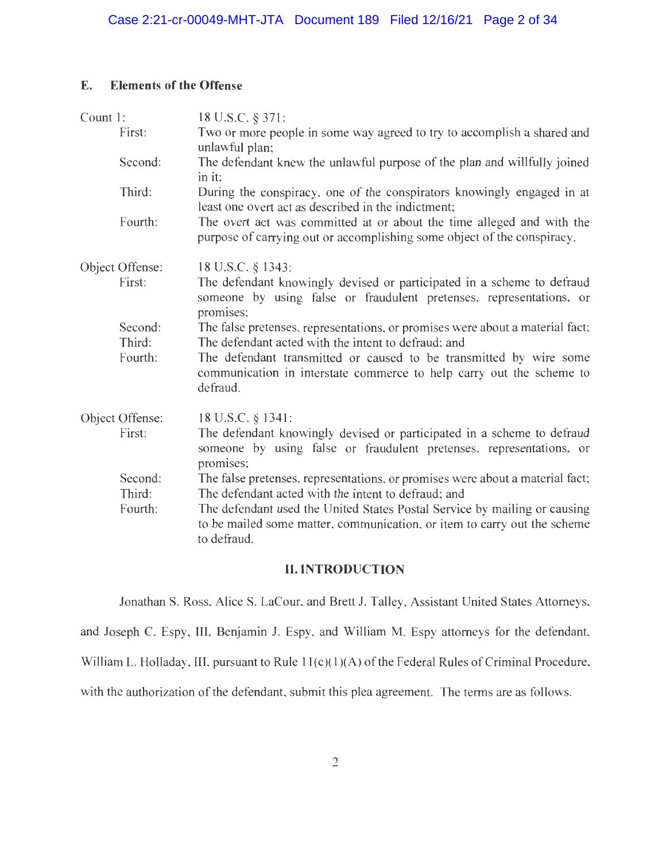# E. Elements of the Offense

| Count 1: |                   | 18 U.S.C. § 371:                                                                                                                                                                                              |
|----------|-------------------|---------------------------------------------------------------------------------------------------------------------------------------------------------------------------------------------------------------|
|          | First:            | Two or more people in some way agreed to try to accomplish a shared and<br>unlawful plan;                                                                                                                     |
|          | Second:           | The defendant knew the unlawful purpose of the plan and willfully joined<br>in it:                                                                                                                            |
|          | Third:            | During the conspiracy, one of the conspirators knowingly engaged in at<br>least one overt act as described in the indictment;                                                                                 |
|          | Fourth:           | The overt act was committed at or about the time alleged and with the<br>purpose of carrying out or accomplishing some object of the conspiracy.                                                              |
|          | Object Offense:   | 18 U.S.C. § 1343:                                                                                                                                                                                             |
|          | First:            | The defendant knowingly devised or participated in a scheme to defraud<br>someone by using false or fraudulent pretenses, representations, or<br>promises;                                                    |
|          | Second:           | The false pretenses, representations, or promises were about a material fact;                                                                                                                                 |
|          | Third:<br>Fourth: | The defendant acted with the intent to defraud; and<br>The defendant transmitted or caused to be transmitted by wire some<br>communication in interstate commerce to help carry out the scheme to<br>defraud. |
|          | Object Offense:   | 18 U.S.C. § 1341:                                                                                                                                                                                             |
|          | First:            | The defendant knowingly devised or participated in a scheme to defraud<br>someone by using false or fraudulent pretenses, representations, or<br>promises;                                                    |
|          | Second:<br>Third: | The false pretenses, representations, or promises were about a material fact;<br>The defendant acted with the intent to defraud; and                                                                          |
|          | Fourth:           | The defendant used the United States Postal Service by mailing or causing<br>to be mailed some matter, communication, or item to carry out the scheme<br>to defraud.                                          |

# II. INTRODUCTION

Jonathan S. Ross, Alice S. LaCour, and Brett J. Talley, Assistant United States Attorneys,

and Joseph C. Espy, III, Benjamin J. Espy, and William M. Espy attorneys for the defendant,

William L. Holladay, III, pursuant to Rule 11(c)(1)(A) of the Federal Rules of Criminal Procedure,

with the authorization of the defendant, submit this plea agreement. The terms are as follows.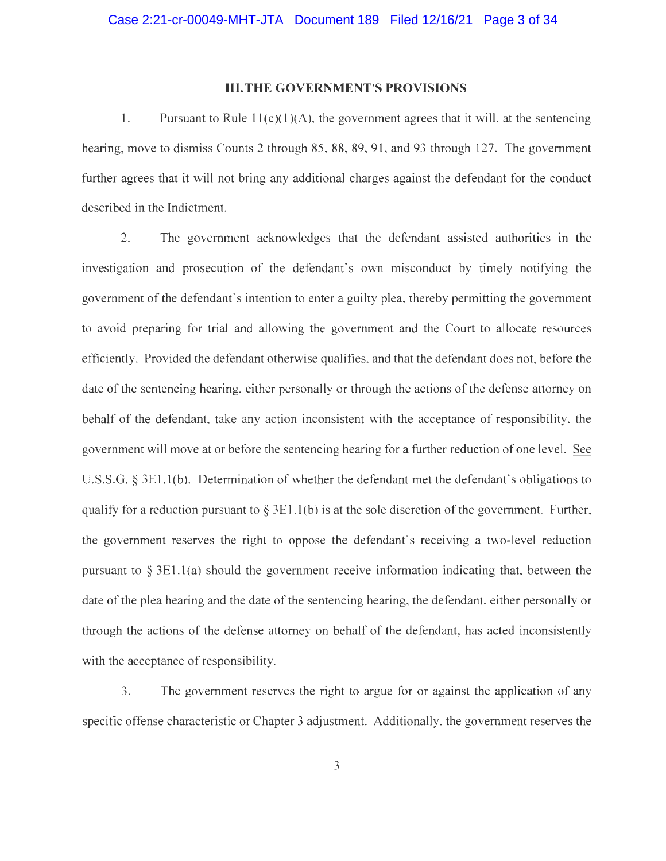#### III.THE GOVERNMENT'S PROVISIONS

1. Pursuant to Rule  $11(c)(1)(A)$ , the government agrees that it will, at the sentencing hearing, move to dismiss Counts 2 through 85, 88, 89, 91, and 93 through 127. The government further agrees that it will not bring any additional charges against the defendant for the conduct described in the Indictment.

2. The government acknowledges that the defendant assisted authorities in the investigation and prosecution of the defendant's own misconduct by timely notifying the government of the defendant's intention to enter a guilty plea, thereby permitting the government to avoid preparing for trial and allowing the government and the Court to allocate resources efficiently. Provided the defendant otherwise qualifies, and that the defendant does not, before the date of the sentencing hearing, either personally or through the actions of the defense attorney on behalf of the defendant, take any action inconsistent with the acceptance of responsibility, the government will move at or before the sentencing hearing for a further reduction of one level. See U.S.S.G. § 3E1.1(b). Determination of whether the defendant met the defendant's obligations to qualify for a reduction pursuant to  $\S 3E1.1(b)$  is at the sole discretion of the government. Further, the government reserves the right to oppose the defendant's receiving a two-level reduction pursuant to  $\S 3E1.1(a)$  should the government receive information indicating that, between the date of the plea hearing and the date of the sentencing hearing, the defendant, either personally or through the actions of the defense attorney on behalf of the defendant, has acted inconsistently with the acceptance of responsibility.

3. The government reserves the right to argue for or against the application of any specific offense characteristic or Chapter 3 adjustment. Additionally, the government reserves the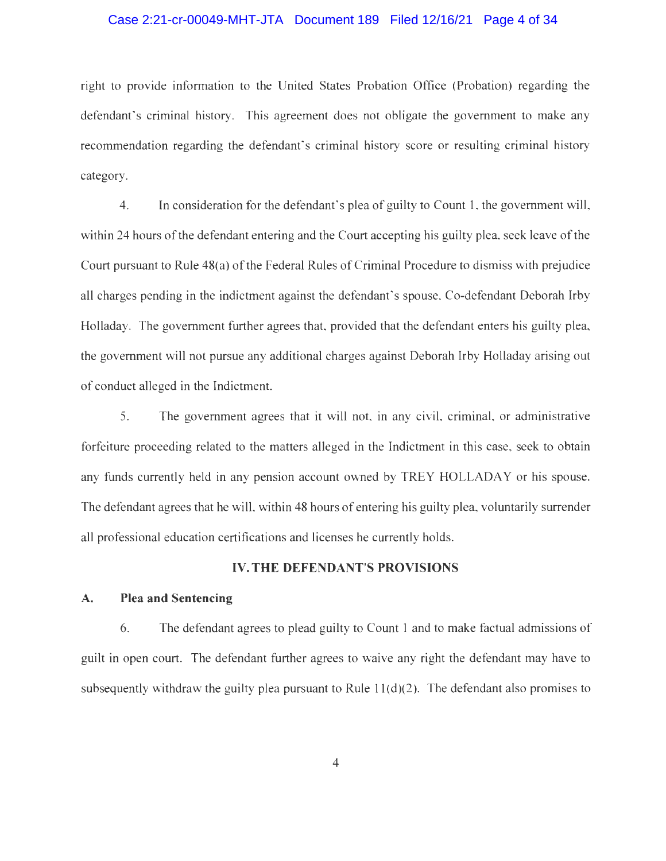### Case 2:21-cr-00049-MHT-JTA Document 189 Filed 12/16/21 Page 4 of 34

right to provide information to the United States Probation Office (Probation) regarding the defendant's criminal history. This agreement does not obligate the government to make any recommendation regarding the defendant's criminal history score or resulting criminal history category.

4. In consideration for the defendant's plea of guilty to Count 1, the government will, within 24 hours of the defendant entering and the Court accepting his guilty plea, seek leave of the Court pursuant to Rule 48(a) of the Federal Rules of Criminal Procedure to dismiss with prejudice all charges pending in the indictment against the defendant's spouse. Co-defendant Deborah Irby Holladay. The government further agrees that, provided that the defendant enters his guilty plea, the government will not pursue any additional charges against Deborah Irby Holladay arising out of conduct alleged in the Indictment.

5. The government agrees that it will not, in any civil, criminal, or administrative forfeiture proceeding related to the matters alleged in the Indictment in this case, seek to obtain any funds currently held in any pension account owned by TREY HOLLADAY or his spouse. The defendant agrees that he will, within 48 hours of entering his guilty plea, voluntarily surrender all professional education certifications and licenses he currently holds.

### IV. THE DEFENDANT'S PROVISIONS

### A. Plea and Sentencing

6. The defendant agrees to plead guilty to Count 1 and to make factual admissions of guilt in open court. The defendant further agrees to waive any right the defendant may have to subsequently withdraw the guilty plea pursuant to Rule  $11(d)(2)$ . The defendant also promises to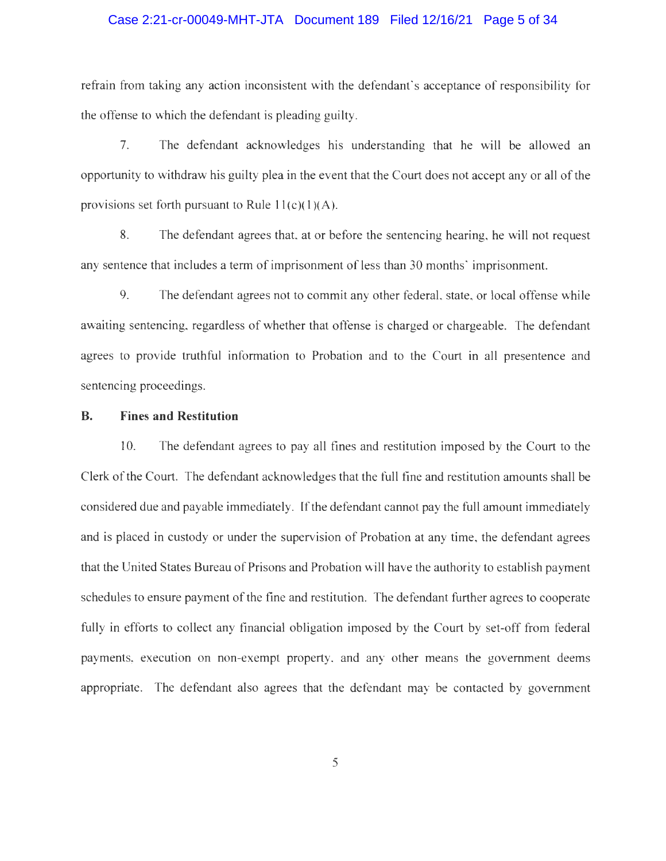### Case 2:21-cr-00049-MHT-JTA Document 189 Filed 12/16/21 Page 5 of 34

refrain from taking any action inconsistent with the defendant's acceptance of responsibility for the offense to which the defendant is pleading guilty.

7. The defendant acknowledges his understanding that he will be allowed an opportunity to withdraw his guilty plea in the event that the Court does not accept any or all of the provisions set forth pursuant to Rule  $11(c)(1)(A)$ .

8. The defendant agrees that. at or before the sentencing hearing, he will not request any sentence that includes a term of imprisonment of less than 30 months' imprisonment.

9. The defendant agrees not to commit any other federal, state, or local offense while awaiting sentencing, regardless of whether that offense is charged or chargeable. The defendant agrees to provide truthful information to Probation and to the Court in all presentence and sentencing proceedings.

# B. Fines and Restitution

10. The defendant agrees to pay all fines and restitution imposed by the Court to the Clerk of the Court. The defendant acknowledges that the full fine and restitution amounts shall be considered due and payable immediately. If the defendant cannot pay the full amount immediately and is placed in custody or under the supervision of Probation at any time, the defendant agrees that the United States Bureau of Prisons and Probation will have the authority to establish payment schedules to ensure payment of the fine and restitution. The defendant further agrees to cooperate fully in efforts to collect any financial obligation imposed by the Court by set-off from federal payments, execution on non-exempt property, and any other means the government deems appropriate. The defendant also agrees that the defendant may be contacted by government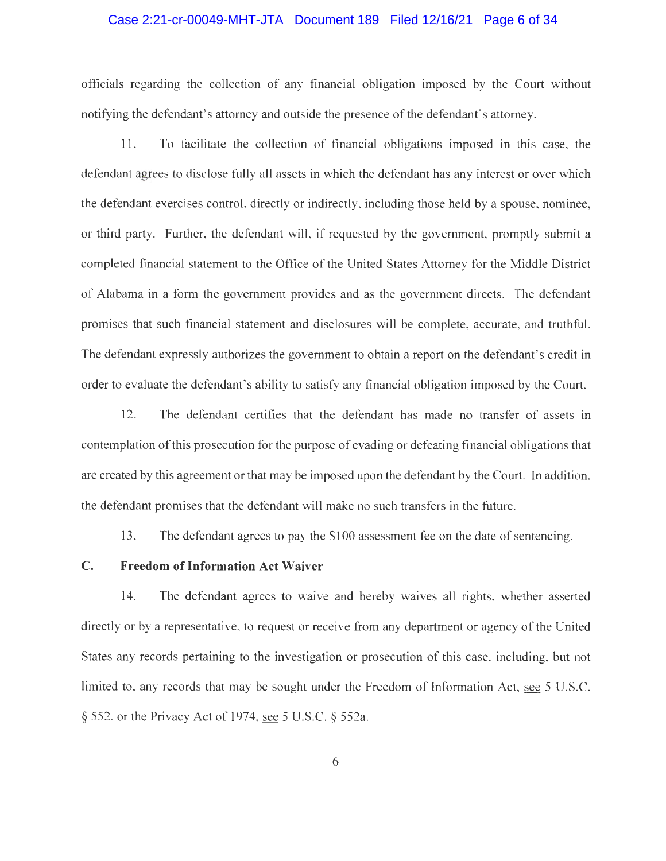### Case 2:21-cr-00049-MHT-JTA Document 189 Filed 12/16/21 Page 6 of 34

officials regarding the collection of any financial obligation imposed by the Court without notifying the defendant's attorney and outside the presence of the defendant's attorney.

11. To facilitate the collection of financial obligations imposed in this case, the defendant agrees to disclose fully all assets in which the defendant has any interest or over which the defendant exercises control, directly or indirectly, including those held by a spouse, nominee, or third party. Further, the defendant will, if requested by the government, promptly submit a completed financial statement to the Office of the United States Attorney for the Middle District of Alabama in a form the government provides and as the government directs. The defendant promises that such financial statement and disclosures will be complete, accurate, and truthful. The defendant expressly authorizes the government to obtain a report on the defendant's credit in order to evaluate the defendant's ability to satisfy any financial obligation imposed by the Court.

12. The defendant certifies that the defendant has made no transfer of assets in contemplation of this prosecution for the purpose of evading or defeating financial obligations that are created by this agreement or that may be imposed upon the defendant by the Court. In addition, the defendant promises that the defendant will make no such transfers in the future.

13. The defendant agrees to pay the \$100 assessment fee on the date of sentencing.

## C. Freedom of Information Act Waiver

14. The defendant agrees to waive and hereby waives all rights, whether asserted directly or by a representative, to request or receive from any department or agency of the United States any records pertaining to the investigation or prosecution of this case, including, but not limited to, any records that may be sought under the Freedom of Information Act, see 5 U.S.C. § 552, or the Privacy Act of 1974, see 5 U.S.C. § 552a.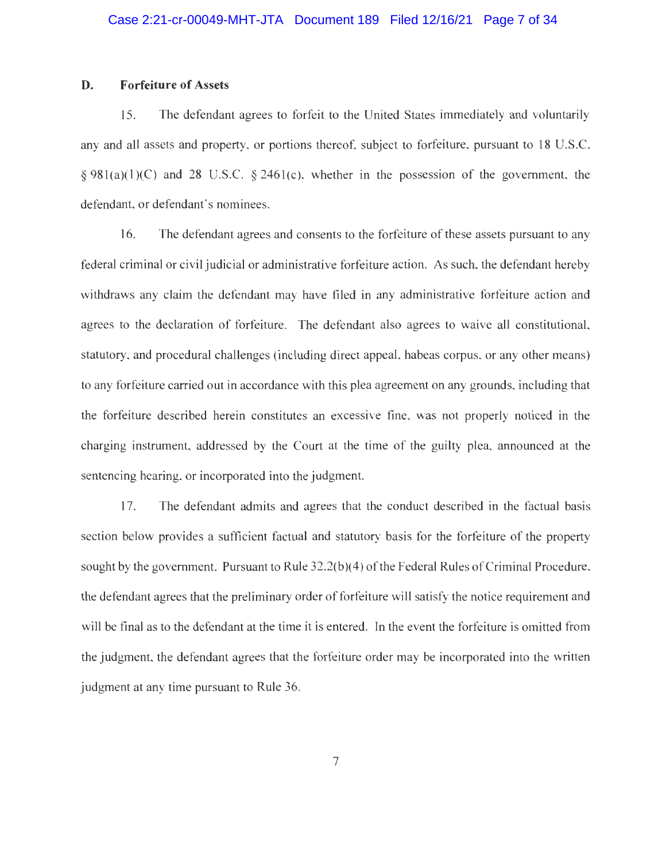### D. Forfeiture of Assets

15. The defendant agrees to forfeit to the United States immediately and voluntarily any and all assets and property, or portions thereof, subject to forfeiture, pursuant to 18 U.S.C.  $\S 981(a)(1)(C)$  and 28 U.S.C.  $\S 2461(c)$ , whether in the possession of the government, the defendant, or defendant's nominees.

16. The defendant agrees and consents to the forfeiture of these assets pursuant to any federal criminal or civil judicial or administrative forfeiture action. As such, the defendant hereby withdraws any claim the defendant may have filed in any administrative forfeiture action and agrees to the declaration of forfeiture. The defendant also agrees to waive all constitutional, statutory, and procedural challenges (including direct appeal, habeas corpus, or any other means) to any forfeiture carried out in accordance with this plea agreement on any grounds, including that the forfeiture described herein constitutes an excessive fine, was not properly noticed in the charging instrument, addressed by the Court at the time of the guilty plea, announced at the sentencing hearing, or incorporated into the judgment.

17. The defendant admits and agrees that the conduct described in the factual basis section below provides a sufficient factual and statutory basis for the forfeiture of the property sought by the government. Pursuant to Rule 32.2(b)(4) of the Federal Rules of Criminal Procedure, the defendant agrees that the preliminary order of forfeiture will satisfy the notice requirement and will be final as to the defendant at the time it is entered. In the event the forfeiture is omitted from the judgment, the defendant agrees that the forfeiture order may be incorporated into the written judgment at any time pursuant to Rule 36.

7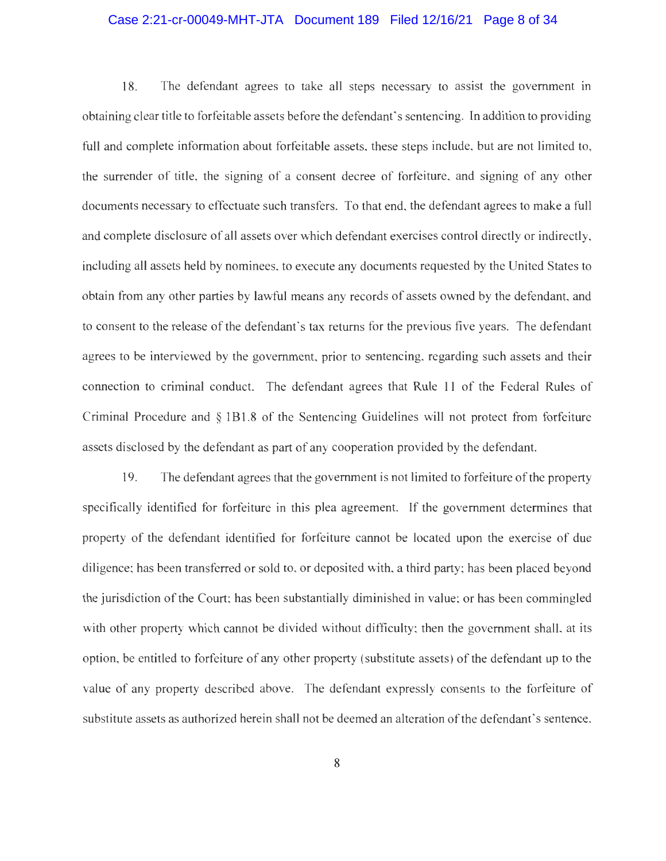### Case 2:21-cr-00049-MHT-JTA Document 189 Filed 12/16/21 Page 8 of 34

18. The defendant agrees to take all steps necessary to assist the government in obtaining clear title to forfeitable assets before the defendant's sentencing. In addition to providing full and complete information about forfeitable assets, these steps include, but are not limited to, the surrender of title, the signing of a consent decree of forfeiture, and signing of any other documents necessary to effectuate such transfers. To that end, the defendant agrees to make a full and complete disclosure of all assets over which defendant exercises control directly or indirectly, including all assets held by nominees, to execute any documents requested by the United States to obtain from any other parties by lawful means any records of assets owned by the defendant, and to consent to the release of the defendant's tax returns for the previous five years. The defendant agrees to be interviewed by the government, prior to sentencing, regarding such assets and their connection to criminal conduct. The defendant agrees that Rule 11 of the Federal Rules of Criminal Procedure and § 1B1.8 of the Sentencing Guidelines will not protect from forfeiture assets disclosed by the defendant as part of any cooperation provided by the defendant.

19. The defendant agrees that the government is not limited to forfeiture of the property specifically identified for forfeiture in this plea agreement. If the government determines that property of the defendant identified for forfeiture cannot be located upon the exercise of due diligence; has been transferred or sold to, or deposited with, a third party; has been placed beyond the jurisdiction of the Court; has been substantially diminished in value; or has been commingled with other property which cannot be divided without difficulty; then the government shall, at its option, be entitled to forfeiture of any other property (substitute assets) of the defendant up to the value of any property described above. The defendant expressly consents to the forfeiture of substitute assets as authorized herein shall not be deemed an alteration of the defendant's sentence.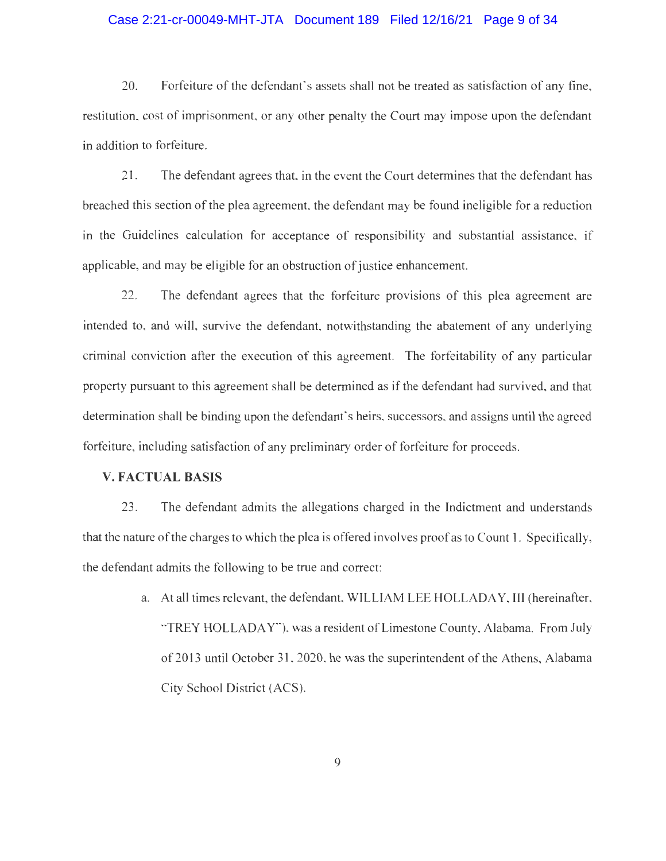### Case 2:21-cr-00049-MHT-JTA Document 189 Filed 12/16/21 Page 9 of 34

20. Forfeiture of the defendant's assets shall not be treated as satisfaction of any fine, restitution, cost of imprisonment, or any other penalty the Court may impose upon the defendant in addition to forfeiture.

21. The defendant agrees that, in the event the Court determines that the defendant has breached this section of the plea agreement, the defendant may be found ineligible for a reduction in the Guidelines calculation for acceptance of responsibility and substantial assistance, if applicable, and may be eligible for an obstruction of justice enhancement.

22. The defendant agrees that the forfeiture provisions of this plea agreement are intended to, and will, survive the defendant, notwithstanding the abatement of any underlying criminal conviction after the execution of this agreement. The forfeitability of any particular property pursuant to this agreement shall be determined as if the defendant had survived, and that determination shall be binding upon the defendant's heirs, successors, and assigns until the agreed forfeiture, including satisfaction of any preliminary order of forfeiture for proceeds.

## V. FACTUAL BASIS

23. The defendant admits the allegations charged in the Indictment and understands that the nature of the charges to which the plea is offered involves proof as to Count 1. Specifically, the defendant admits the following to be true and correct:

> a. At all times relevant, the defendant, WILLIAM LEE HOLLADAY, III (hereinafter, "TREY HOLLADAY"), was a resident of Limestone County, Alabama. From July of 2013 until October 31, 2020, he was the superintendent of the Athens, Alabama City School District (ACS).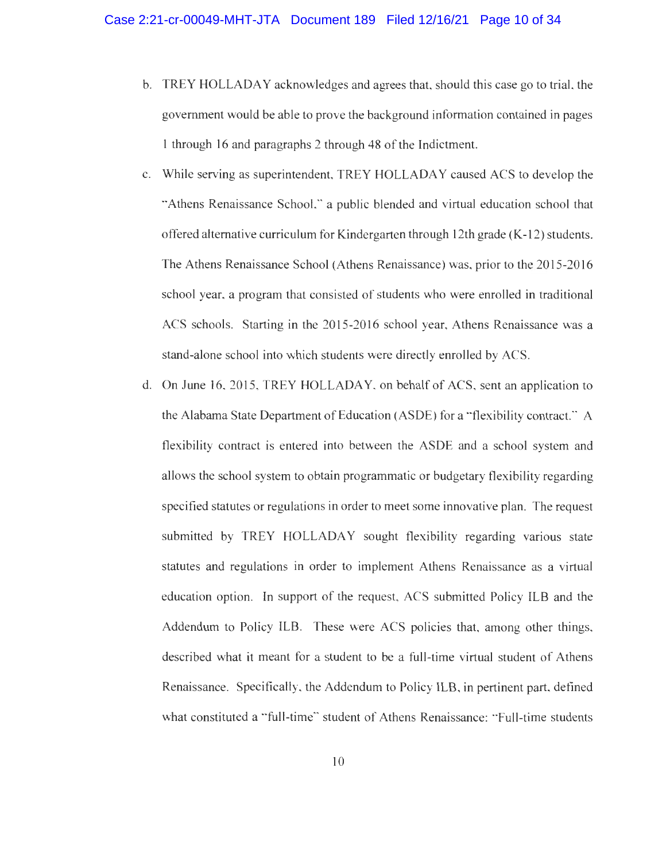- b. TREY HOLLADAY acknowledges and agrees that, should this case go to trial, the government would be able to prove the background information contained in pages 1 through 16 and paragraphs 2 through 48 of the Indictment.
- c. While serving as superintendent, TREY HOLLADAY caused ACS to develop the "Athens Renaissance School," a public blended and virtual education school that offered alternative curriculum for Kindergarten through 12th grade (K-12) students. The Athens Renaissance School (Athens Renaissance) was, prior to the 2015-2016 school year, a program that consisted of students who were enrolled in traditional ACS schools. Starting in the 2015-2016 school year, Athens Renaissance was a stand-alone school into which students were directly enrolled by ACS.
- d. On June 16, 2015, TREY HOLLADAY, on behalf of ACS, sent an application to the Alabama State Department of Education (ASDE) for a "flexibility contract." A flexibility contract is entered into between the ASDE and a school system and allows the school system to obtain programmatic or budgetary flexibility regarding specified statutes or regulations in order to meet some innovative plan. The request submitted by TREY HOLLADAY sought flexibility regarding various state statutes and regulations in order to implement Athens Renaissance as a virtual education option. In support of the request, ACS submitted Policy ILB and the Addendum to Policy ILB. These were ACS policies that, among other things, described what it meant for a student to be a full-time virtual student of Athens Renaissance. Specifically, the Addendum to Policy ILB, in pertinent part, defined what constituted a "full-time" student of Athens Renaissance: "Full-time students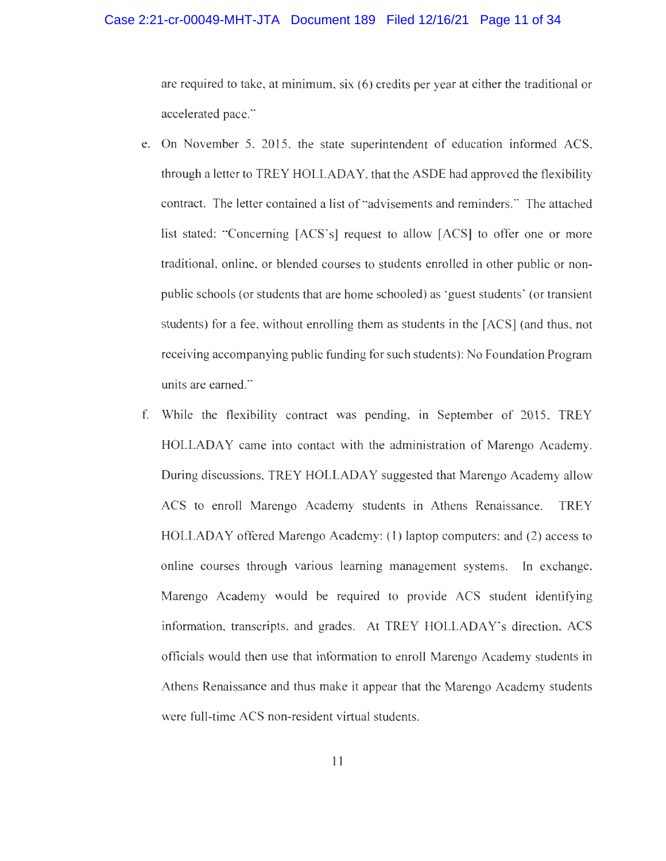#### Case 2:21-cr-00049-MHT-JTA Document 189 Filed 12/16/21 Page 11 of 34

are required to take, at minimum, six (6) credits per year at either the traditional or accelerated pace."

- e. On November 5, 2015, the state superintendent of education informed ACS, through a letter to TREY HOLLADAY, that the ASDE had approved the flexibility contract. The letter contained a list of "advisements and reminders." The attached list stated: "Concerning [ACS's] request to allow [ACS] to offer one or more traditional, online, or blended courses to students enrolled in other public or nonpublic schools (or students that are home schooled) as 'guest students' (or transient students) for a fee, without enrolling them as students in the [ACS] (and thus, not receiving accompanying public funding for such students): No Foundation Program units are earned."
- f. While the flexibility contract was pending, in September of 2015, TREY HOLLADAY came into contact with the administration of Marengo Academy. During discussions, TREY HOLLADAY suggested that Marengo Academy allow ACS to enroll Marengo Academy students in Athens Renaissance. TREY HOLLADAY offered Marengo Academy: (1) laptop computers: and (2) access to online courses through various learning management systems. In exchange, Marengo Academy would be required to provide ACS student identifying information, transcripts, and grades. At TREY HOLLADAY's direction, ACS officials would then use that information to enroll Marengo Academy students in Athens Renaissance and thus make it appear that the Marengo Academy students were full-time ACS non-resident virtual students.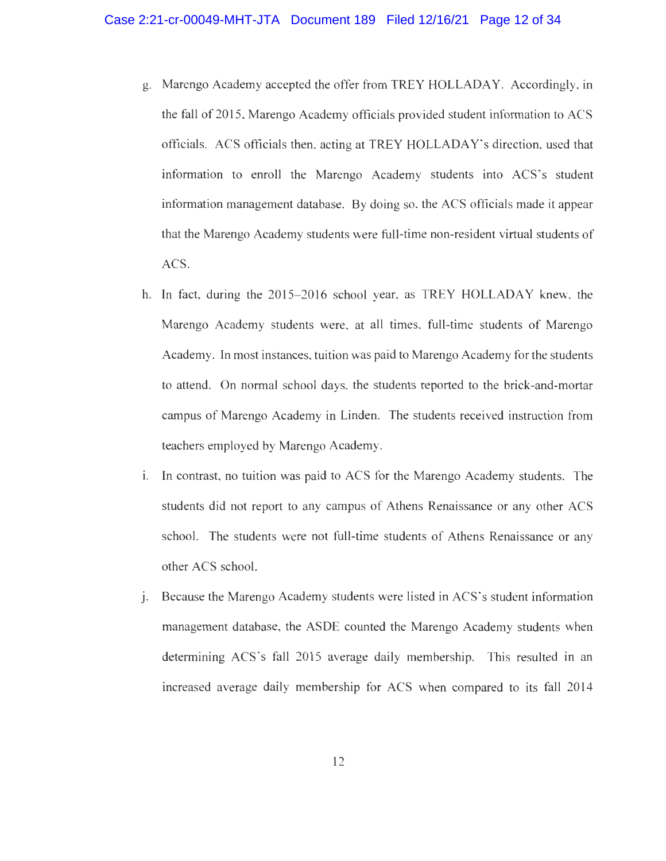- g. Marengo Academy accepted the offer from TREY HOLLADAY. Accordingly, in the fall of 2015, Marengo Academy officials provided student information to ACS officials. ACS officials then, acting at TREY HOLLADAY's direction, used that information to enroll the Marengo Academy students into ACS's student information management database. By doing so, the ACS officials made it appear that the Marengo Academy students were full-time non-resident virtual students of ACS.
- h. In fact, during the 2015-2016 school year, as TREY HOLLADAY knew, the Marengo Academy students were, at all times, full-time students of Marengo Academy. In most instances, tuition was paid to Marengo Academy for the students to attend. On normal school days, the students reported to the brick-and-mortar campus of Marengo Academy in Linden. The students received instruction from teachers employed by Marengo Academy.
- i. In contrast, no tuition was paid to ACS for the Marengo Academy students. The students did not report to any campus of Athens Renaissance or any other ACS school. The students were not full-time students of Athens Renaissance or any other ACS school.
- j. Because the Marengo Academy students were listed in ACS's student information management database, the ASDE counted the Marengo Academy students when determining ACS's fall 2015 average daily membership. This resulted in an increased average daily membership for ACS when compared to its fall 2014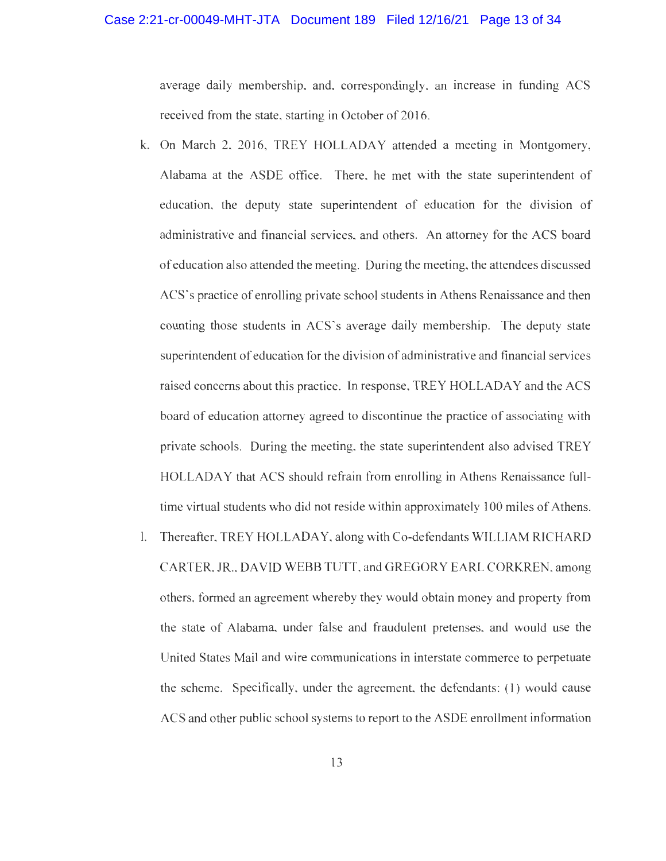### Case 2:21-cr-00049-MHT-JTA Document 189 Filed 12/16/21 Page 13 of 34

average daily membership. and, correspondingly, an increase in funding ACS received from the state, starting in October of 2016.

- k. On March 2, 2016, TREY HOLLADAY attended a meeting in Montgomery, Alabama at the ASDE office. There, he met with the state superintendent of education, the deputy state superintendent of education for the division of administrative and financial services, and others. An attorney for the ACS board of education also attended the meeting. During the meeting, the attendees discussed ACS's practice of enrolling private school students in Athens Renaissance and then counting those students in ACS's average daily membership. The deputy state superintendent of education for the division of administrative and financial services raised concerns about this practice. In response, TREY HOLLADAY and the ACS board of education attorney agreed to discontinue the practice of associating with private schools. During the meeting. the state superintendent also advised TREY HOLLADAY that ACS should refrain from enrolling in Athens Renaissance fulltime virtual students who did not reside within approximately 100 miles of Athens.
- 1. Thereafter, TREY HOLLADAY, along with Co-defendants WILLIAM RICHARD CARTER, JR.. DAVID WEBB TUTT, and GREGORY EARL CORKREN, among others, formed an agreement whereby they would obtain money and property from the state of Alabama, under false and fraudulent pretenses, and would use the United States Mail and wire communications in interstate commerce to perpetuate the scheme. Specifically, under the agreement, the defendants: (1) would cause ACS and other public school systems to report to the ASDE enrollment information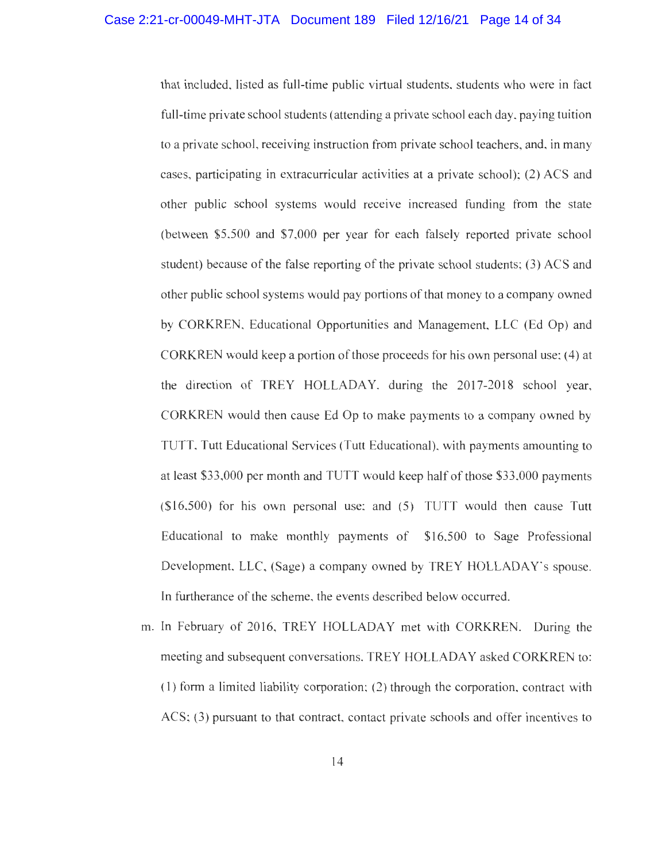that included, listed as full-time public virtual students, students who were in fact full-time private school students (attending a private school each day, paying tuition to a private school, receiving instruction from private school teachers, and, in many cases, participating in extracurricular activities at a private school); (2) ACS and other public school systems would receive increased funding from the state (between \$5,500 and \$7,000 per year for each falsely reported private school student) because of the false reporting of the private school students; (3) ACS and other public school systems would pay portions of that money to a company owned by CORKREN, Educational Opportunities and Management, LLC (Ed Op) and CORKREN would keep a portion of those proceeds for his own personal use; (4) at the direction of TREY HOLLADAY, during the 2017-2018 school year, CORKREN would then cause Ed Op to make payments to a company owned by TUTT, Tutt Educational Services (Tutt Educational), with payments amounting to at least \$33,000 per month and TUTT would keep half of those \$33,000 payments (\$16,500) for his own personal use: and (5) TUTT would then cause Tutt Educational to make monthly payments of \$16,500 to Sage Professional Development, LLC, (Sage) a company owned by TREY HOLLADAY's spouse. In furtherance of the scheme, the events described below occurred.

m. In February of 2016, TREY HOLLADAY met with CORKREN. During the meeting and subsequent conversations, TREY HOLLADAY asked CORKREN to: (1) form a limited liability corporation; (2) through the corporation, contract with ACS; (3) pursuant to that contract, contact private schools and offer incentives to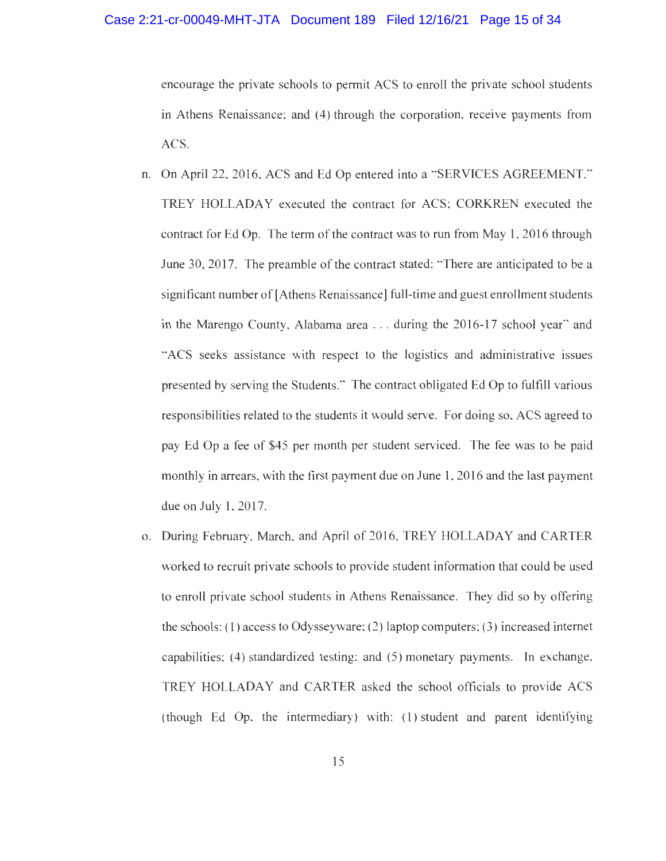### Case 2:21-cr-00049-MHT-JTA Document 189 Filed 12/16/21 Page 15 of 34

encourage the private schools to permit ACS to enroll the private school students in Athens Renaissance; and (4) through the corporation, receive payments from ACS.

- n. On April 22, 2016, ACS and Ed Op entered into a "SERVICES AGREEMENT." TREY HOLLADAY executed the contract for ACS; CORKREN executed the contract for Ed Op. The term of the contract was to run from May 1, 2016 through June 30, 2017. The preamble of the contract stated: "There are anticipated to be a significant number of [Athens Renaissance] full-time and guest enrollment students in the Marengo County, Alabama area . . . during the 2016-17 school year" and "ACS seeks assistance with respect to the logistics and administrative issues presented by serving the Students." The contract obligated Ed Op to fulfill various responsibilities related to the students it would serve. For doing so, ACS agreed to pay Ed Op a fee of \$45 per month per student serviced. The fee was to be paid monthly in arrears, with the first payment due on June 1, 2016 and the last payment due on July 1, 2017.
- o. During February, March, and April of 2016, TREY HOLLADAY and CARTER worked to recruit private schools to provide student information that could be used to enroll private school students in Athens Renaissance. They did so by offering the schools: (1) access to Odysseyware; (2) laptop computers; (3) increased internet capabilities; (4) standardized testing: and (5) monetary payments. In exchange, TREY HOLLADAY and CARTER asked the school officials to provide ACS (though Ed Op, the intermediary) with: (1) student and parent identifying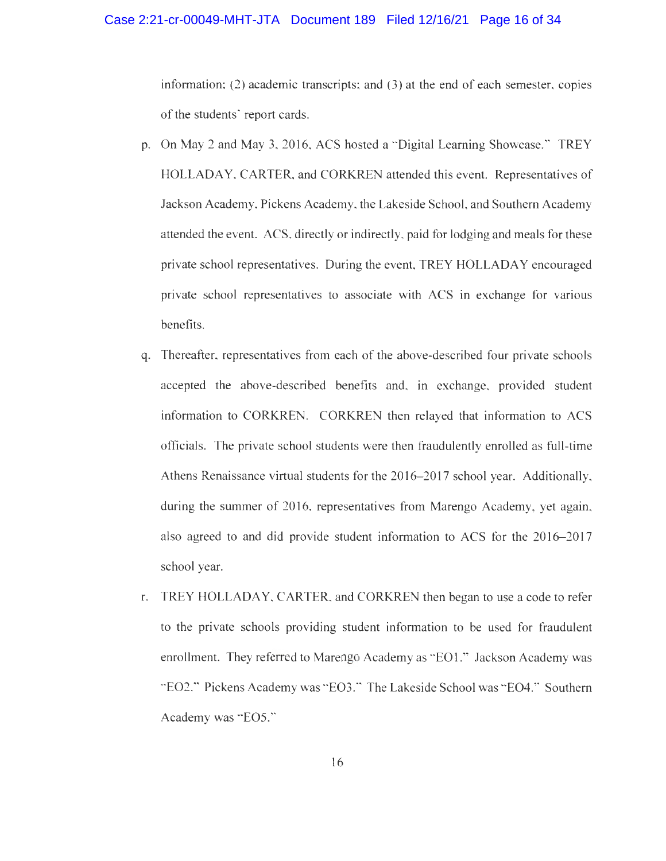### Case 2:21-cr-00049-MHT-JTA Document 189 Filed 12/16/21 Page 16 of 34

information; (2) academic transcripts; and (3) at the end of each semester, copies of the students' report cards.

- p. On May 2 and May 3,2016, ACS hosted a "Digital Learning Showcase." TREY HOLLADAY. CARTER, and CORKREN attended this event. Representatives of Jackson Academy, Pickens Academy, the Lakeside School, and Southern Academy attended the event. ACS, directly or indirectly, paid for lodging and meals for these private school representatives. During the event, TREY HOLLADAY encouraged private school representatives to associate with ACS in exchange for various benefits.
- q. Thereafter, representatives from each of the above-described four private schools accepted the above-described benefits and, in exchange, provided student information to CORKREN. CORKREN then relayed that information to ACS officials. The private school students were then fraudulently enrolled as full-time Athens Renaissance virtual students for the 2016-2017 school year. Additionally, during the summer of 2016, representatives from Marengo Academy, yet again, also agreed to and did provide student information to ACS for the 2016-2017 school year.
- r. TREY HOLLADAY, CARTER, and CORKREN then began to use a code to refer to the private schools providing student information to be used for fraudulent enrollment. They referred to Marengo Academy as "E01." Jackson Academy was "E02." Pickens Academy was "E03." The Lakeside School was "E04." Southern Academy was "E05."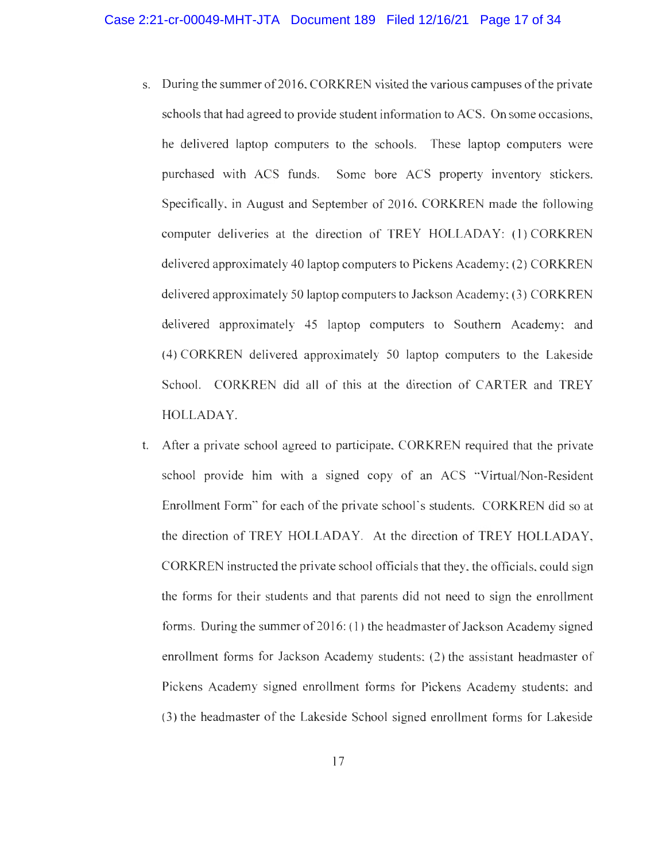- s. During the summer of 2016, CORKREN visited the various campuses of the private schools that had agreed to provide student information to ACS. On some occasions, he delivered laptop computers to the schools. These laptop computers were purchased with ACS funds. Some bore ACS property inventory stickers. Specifically, in August and September of 2016, CORKREN made the following computer deliveries at the direction of TREY HOLLADAY: (1) CORKREN delivered approximately 40 laptop computers to Pickens Academy; (2) CORKREN delivered approximately 50 laptop computers to Jackson Academy; (3) CORKREN delivered approximately 45 laptop computers to Southern Academy; and (4) CORKREN delivered approximately 50 laptop computers to the Lakeside School. CORKREN did all of this at the direction of CARTER and TREY HOLLADAY.
- t. After a private school agreed to participate, CORKREN required that the private school provide him with a signed copy of an ACS "Virtual/Non-Resident Enrollment Form" for each of the private school's students. CORKREN did so at the direction of TREY HOLLADAY. At the direction of TREY HOLLADAY, CORKREN instructed the private school officials that they, the officials, could sign the forms for their students and that parents did not need to sign the enrollment forms. During the summer of  $2016: (1)$  the headmaster of Jackson Academy signed enrollment forms for Jackson Academy students; (2) the assistant headmaster of Pickens Academy signed enrollment forms for Pickens Academy students; and (3) the headmaster of the Lakeside School signed enrollment forms for Lakeside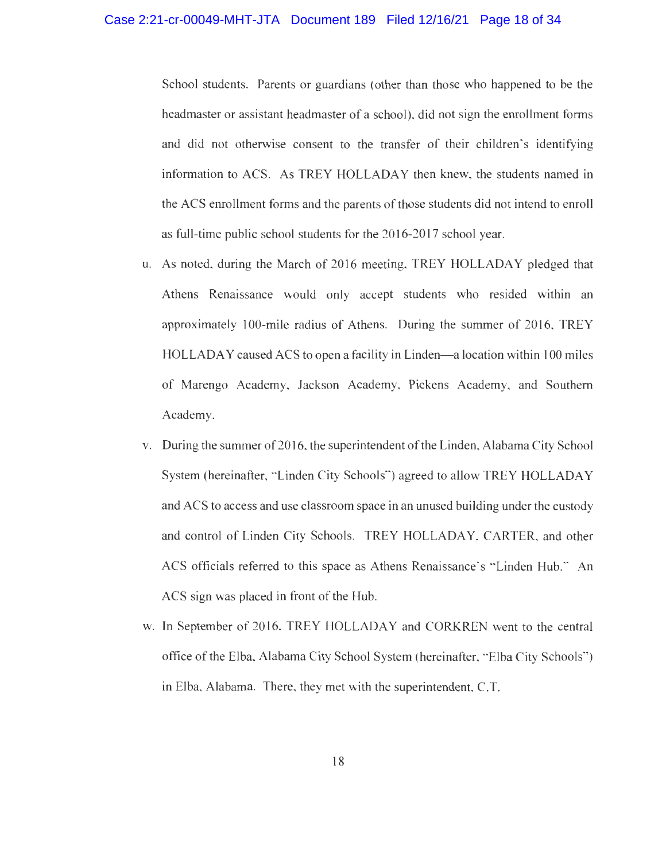#### Case 2:21-cr-00049-MHT-JTA Document 189 Filed 12/16/21 Page 18 of 34

School students. Parents or guardians (other than those who happened to be the headmaster or assistant headmaster of a school), did not sign the enrollment forms and did not otherwise consent to the transfer of their children's identifying information to ACS. As TREY HOLLADAY then knew, the students named in the ACS enrollment forms and the parents of those students did not intend to enroll as full-time public school students for the 2016-2017 school year.

- u. As noted, during the March of 2016 meeting, TREY HOLLADAY pledged that Athens Renaissance would only accept students who resided within an approximately 100-mile radius of Athens. During the summer of 2016, TREY HOLLADAY caused ACS to open a facility in Linden—a location within 100 miles of Marengo Academy, Jackson Academy, Pickens Academy, and Southern Academy.
- v. During the summer of 2016, the superintendent of the Linden, Alabama City School System (hereinafter, "Linden City Schools") agreed to allow TREY HOLLADAY and ACS to access and use classroom space in an unused building under the custody and control of Linden City Schools. TREY HOLLADAY, CARTER, and other ACS officials referred to this space as Athens Renaissance's "Linden Hub." An ACS sign was placed in front of the Hub.
- w. In September of 2016, TREY HOLLADAY and CORKREN went to the central office of the Elba, Alabama City School System (hereinafter, "Elba City Schools-) in Elba, Alabama. There, they met with the superintendent, C.T.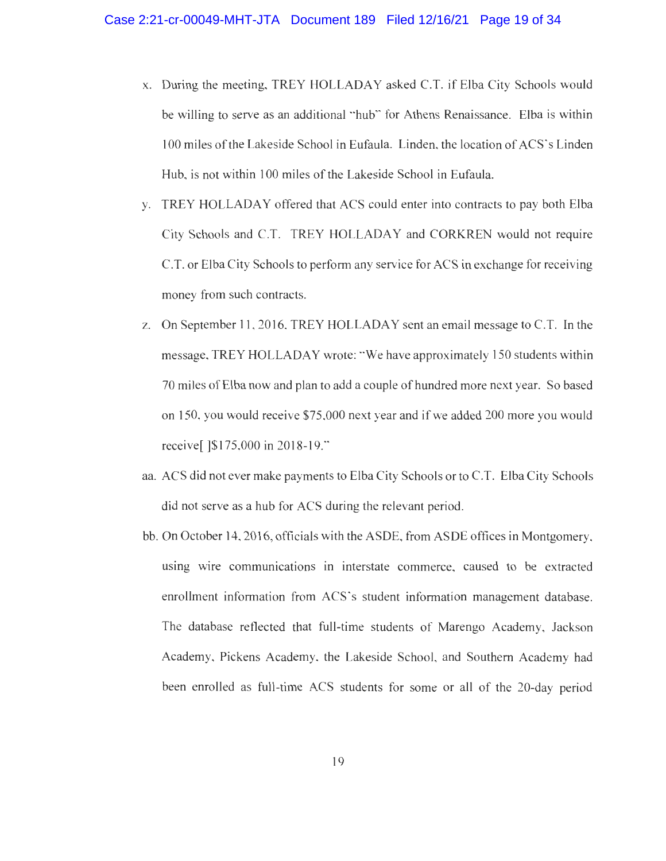- x. During the meeting, TREY HOLLADAY asked C.T. if Elba City Schools would be willing to serve as an additional "hub" for Athens Renaissance. Elba is within 100 miles of the Lakeside School in Eufaula. Linden, the location of ACS's Linden Hub, is not within 100 miles of the Lakeside School in Eufaula.
- y. TREY HOLLADAY offered that ACS could enter into contracts to pay both Elba City Schools and C.T. TREY HOLLADAY and CORKREN would not require C.T. or Elba City Schools to perform any service for ACS in exchange for receiving money from such contracts.
- z. On September 11, 2016, TREY HOLLADAY sent an email message to C.T. In the message, TREY HOLLADAY wrote: "We have approximately 150 students within 70 miles of Elba now and plan to add a couple of hundred more next year. So based on 150, you would receive \$75,000 next year and if we added 200 more you would receive[ ]\$175,000 in 2018-19."
- aa. ACS did not ever make payments to Elba City Schools or to C.T. Elba City Schools did not serve as a hub for ACS during the relevant period.
- bb. On October 14, 2016, officials with the ASDE, from ASDE offices in Montgomery, using wire communications in interstate commerce, caused to be extracted enrollment information from ACS's student information management database. The database reflected that full-time students of Marengo Academy, Jackson Academy, Pickens Academy, the Lakeside School, and Southern Academy had been enrolled as full-time ACS students for some or all of the 20-day period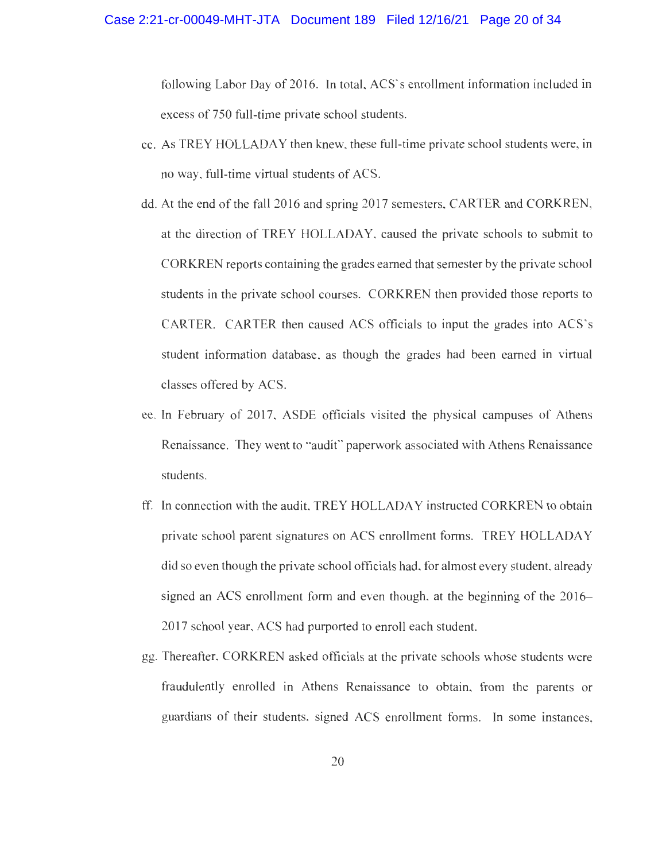following Labor Day of 2016. In total, ACS's enrollment information included in excess of 750 full-time private school students.

- cc. As TREY HOLLADAY then knew, these full-time private school students were, in no way, full-time virtual students of ACS.
- dd. At the end of the fall 2016 and spring 2017 semesters, CARTER and CORKREN, at the direction of TREY HOLLADAY, caused the private schools to submit to CORKREN reports containing the grades earned that semester by the private school students in the private school courses. CORKREN then provided those reports to CARTER. CARTER then caused ACS officials to input the grades into ACS's student information database, as though the grades had been earned in virtual classes offered by ACS.
- ee. In February of 2017, ASDE officials visited the physical campuses of Athens Renaissance. They went to "audit" paperwork associated with Athens Renaissance students.
- ff. In connection with the audit, TREY HOLLADAY instructed CORKREN to obtain private school parent signatures on ACS enrollment forms. TREY HOLLADAY did so even though the private school officials had, for almost every student, already signed an ACS enrollment form and even though, at the beginning of the 2016- 2017 school year, ACS had purported to enroll each student.
- gg. Thereafter, CORKREN asked officials at the private schools whose students were fraudulently enrolled in Athens Renaissance to obtain, from the parents or guardians of their students, signed ACS enrollment forms. In some instances,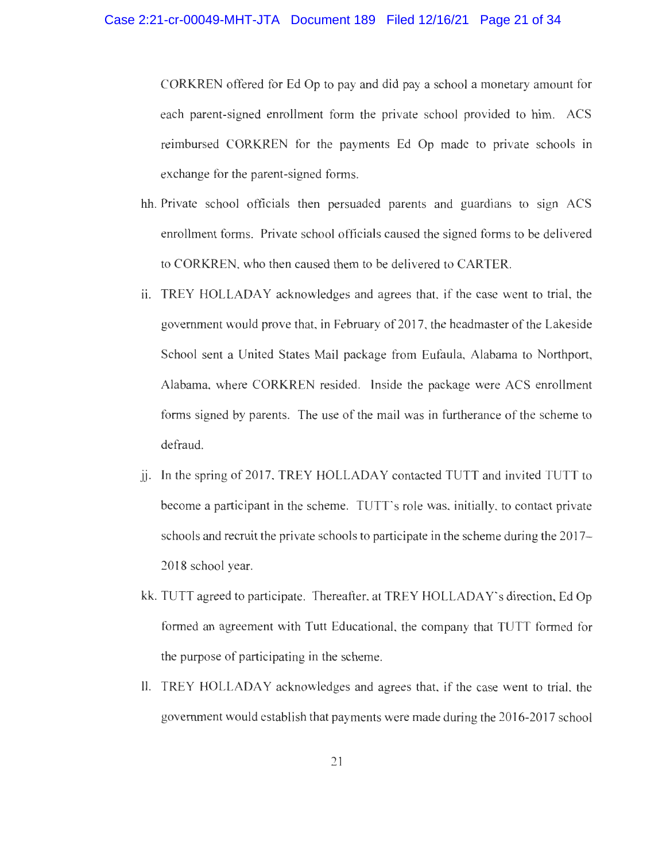CORKREN offered for Ed Op to pay and did pay a school a monetary amount for each parent-signed enrollment form the private school provided to him. ACS reimbursed CORKREN for the payments Ed Op made to private schools in exchange for the parent-signed forms.

- hh. Private school officials then persuaded parents and guardians to sign ACS enrollment forms. Private school officials caused the signed forms to be delivered to CORKREN, who then caused them to be delivered to CARTER.
- ii. TREY HOLLADAY acknowledges and agrees that, if the case went to trial, the government would prove that, in February of 2017, the headmaster of the Lakeside School sent a United States Mail package from Eufaula, Alabama to Northport, Alabama, where CORKREN resided. Inside the package were ACS enrollment forms signed by parents. The use of the mail was in furtherance of the scheme to defraud.
- jj. In the spring of 2017, TREY HOLLADAY contacted TUTT and invited TUTT to become a participant in the scheme. TUTT's role was, initially, to contact private schools and recruit the private schools to participate in the scheme during the 2017- 2018 school year.
- kk. TUTT agreed to participate. Thereafter, at TREY HOLLADAY's direction, Ed Op formed an agreement with Tutt Educational, the company that TUTT formed for the purpose of participating in the scheme.
- 11. TREY HOLLADAY acknowledges and agrees that, if the case went to trial, the government would establish that payments were made during the 2016-2017 school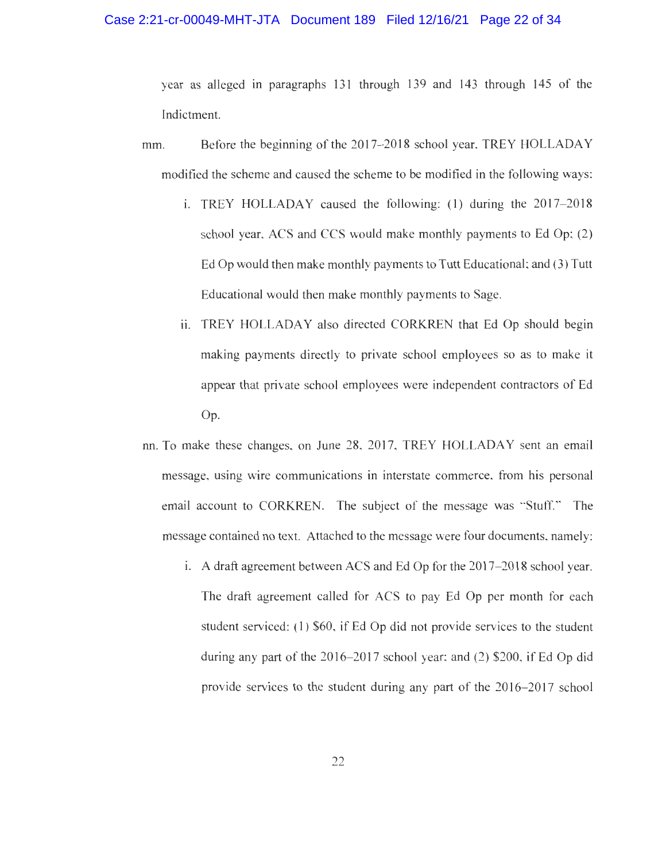### Case 2:21-cr-00049-MHT-JTA Document 189 Filed 12/16/21 Page 22 of 34

year as alleged in paragraphs 131 through 139 and 143 through 145 of the Indictment.

- mm. Before the beginning of the 2017–2018 school year, TREY HOLLADAY modified the scheme and caused the scheme to be modified in the following ways:
	- i. TREY HOLLADAY caused the following: (1) during the 2017-2018 school year, ACS and CCS would make monthly payments to Ed Op; (2) Ed Op would then make monthly payments to Tutt Educational; and (3) Tutt Educational would then make monthly payments to Sage.
	- ii. TREY HOLLADAY also directed CORKREN that Ed Op should begin making payments directly to private school employees so as to make it appear that private school employees were independent contractors of Ed Op.
- nn. To make these changes, on June 28, 2017, TREY HOLLADAY sent an email message, using wire communications in interstate commerce, from his personal email account to CORKREN. The subject of the message was "Stuff." The message contained no text. Attached to the message were four documents, namely:
	- i. A draft agreement between ACS and Ed Op for the 2017-2018 school year. The draft agreement called for ACS to pay Ed Op per month for each student serviced: (1) \$60, if Ed Op did not provide services to the student during any part of the 2016-2017 school year; and (2) \$200, if Ed Op did provide services to the student during any part of the 2016-2017 school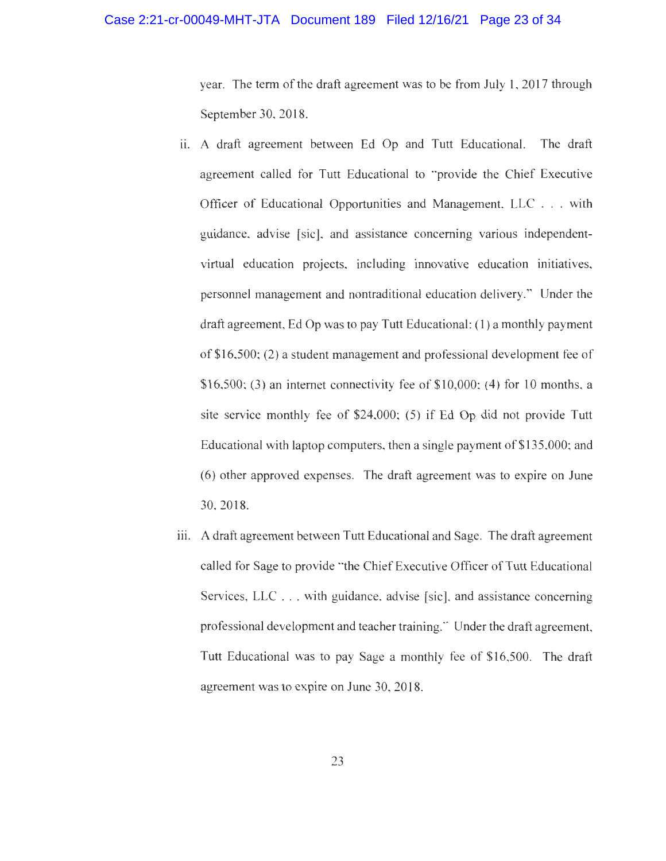### Case 2:21-cr-00049-MHT-JTA Document 189 Filed 12/16/21 Page 23 of 34

year. The term of the draft agreement was to be from July 1, 2017 through September 30, 2018.

- ii. A draft agreement between Ed Op and Tutt Educational. The draft agreement called for Tutt Educational to "provide the Chief Executive Officer of Educational Opportunities and Management, LLC . . . with guidance, advise [sic], and assistance conceming various independentvirtual education projects, including innovative education initiatives, personnel management and nontraditional education delivery." Under the draft agreement, Ed Op was to pay Tutt Educational: (1) a monthly payment of \$16,500; (2) a student management and professional development fee of \$16,500; (3) an internet connectivity fee of  $$10,000$ ; (4) for 10 months, a site service monthly fee of \$24,000; (5) if Ed Op did not provide Tutt Educational with laptop computers, then a single payment of \$135,000; and (6) other approved expenses. The draft agreement was to expire on June 30, 2018.
- iii. A draft agreement between Tutt Educational and Sage. The draft agreement called for Sage to provide "the Chief Executive Officer of Tutt Educational Services, LLC . . . with guidance, advise [sic], and assistance conceming professional development and teacher training." Under the draft agreement, Tutt Educational was to pay Sage a monthly fee of \$16,500. The draft agreement was to expire on June 30, 2018.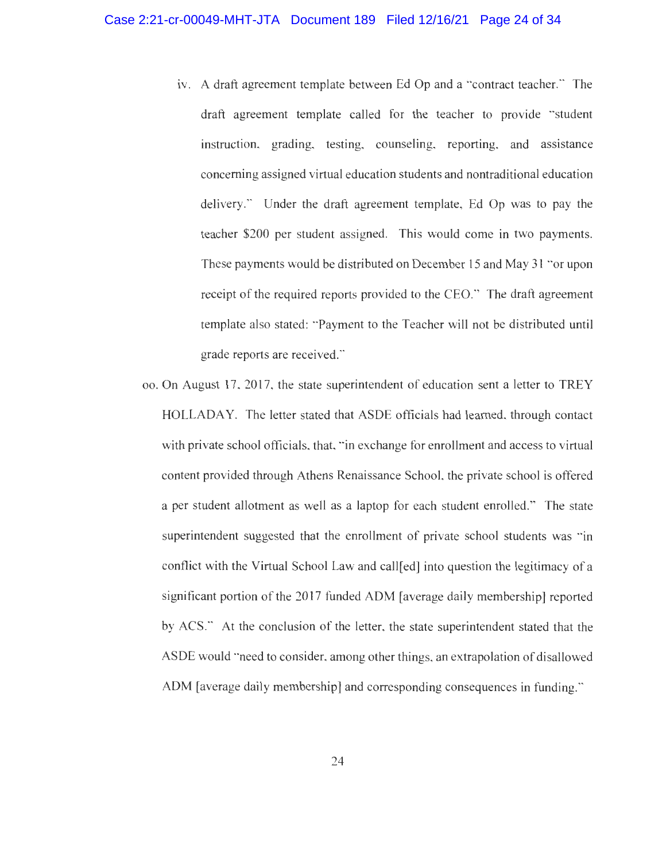- iv. A draft agreement template between Ed Op and a "contract teacher." The draft agreement template called for the teacher to provide "student instruction, grading, testing, counseling, reporting, and assistance concerning assigned virtual education students and nontraditional education delivery." Under the draft agreement template, Ed Op was to pay the teacher \$200 per student assigned. This would come in two payments. These payments would be distributed on December 15 and May 31 "or upon receipt of the required reports provided to the CEO." The draft agreement template also stated: "Payment to the Teacher will not be distributed until grade reports are received.'"
- oo. On August 17, 2017, the state superintendent of education sent a letter to TREY HOLLADAY. The letter stated that ASDE officials had learned, through contact with private school officials, that, "in exchange for enrollment and access to virtual content provided through Athens Renaissance School, the private school is offered a per student allotment as well as a laptop for each student enrolled." The state superintendent suggested that the enrollment of private school students was "in conflict with the Virtual School Law and call[ed] into question the legitimacy of a significant portion of the 2017 funded ADM [average daily membership] reported by ACS." At the conclusion of the letter, the state superintendent stated that the ASDE would "need to consider, among other things, an extrapolation of disallowed ADM [average daily membership] and corresponding consequences in funding."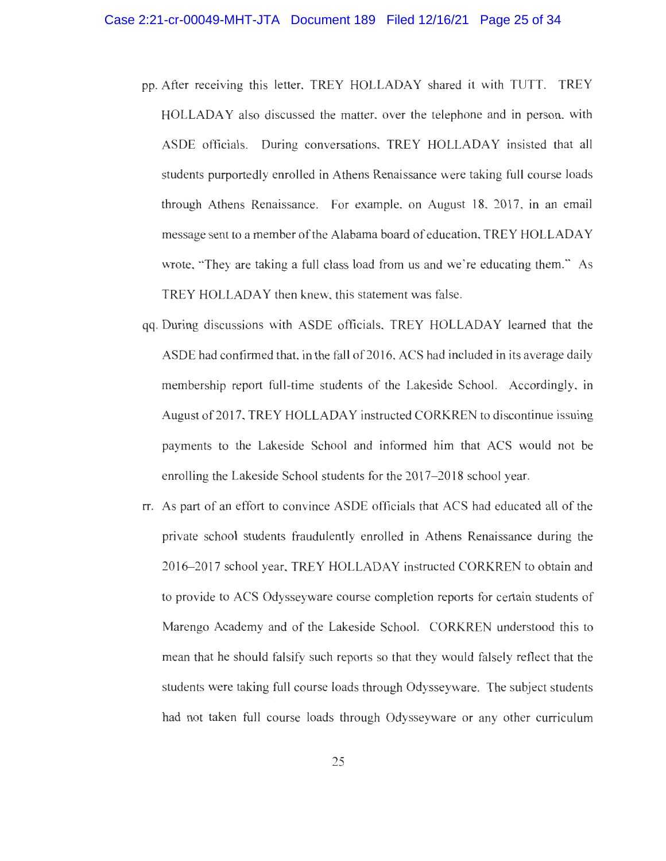- pp. After receiving this letter, TREY HOLLADAY shared it with TUTT. TREY HOLLADAY also discussed the matter, over the telephone and in person, with ASDE officials. During conversations, TREY HOLLADAY insisted that all students purportedly enrolled in Athens Renaissance were taking full course loads through Athens Renaissance. For example, on August 18, 2017, in an email message sent to a member of the Alabama board of education, TREY HOLLADAY wrote, "They are taking a full class load from us and we're educating them." As TREY HOLLADAY then knew, this statement was false.
- qq. During discussions with ASDE officials, TREY HOLLADAY learned that the ASDE had confirmed that, in the fall of 2016, ACS had included in its average daily membership report full-time students of the Lakeside School. Accordingly, in August of 2017, TREY HOLLADAY instructed CORKREN to discontinue issuing payments to the Lakeside School and informed him that ACS would not be enrolling the Lakeside School students for the 2017-2018 school year.
- rr. As part of an effort to convince ASDE officials that ACS had educated all of the private school students fraudulently enrolled in Athens Renaissance during the 2016-2017 school year, TREY HOLLADAY instructed CORKREN to obtain and to provide to ACS Odysseyware course completion reports for certain students of Marengo Academy and of the Lakeside School. CORKREN understood this to mean that he should falsify such reports so that they would falsely reflect that the students were taking full course loads through Odysseyware. The subject students had not taken full course loads through Odysseyware or any other curriculum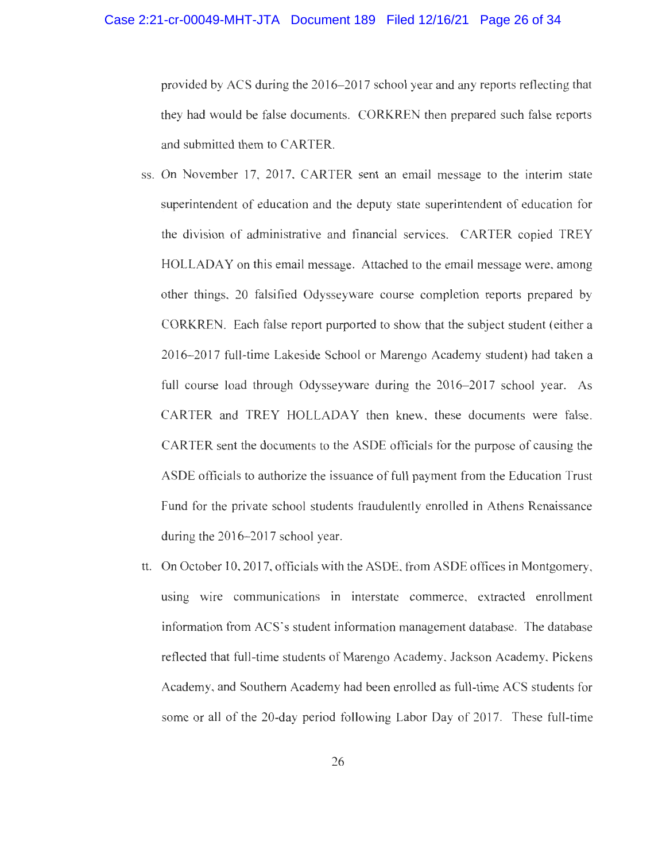provided by ACS during the 2016-2017 school year and any reports reflecting that they had would be false documents. CORKREN then prepared such false reports and submitted them to CARTER.

- ss. On November 17, 2017, CARTER sent an email message to the interim state superintendent of education and the deputy state superintendent of education for the division of administrative and financial services. CARTER copied TREY HOLLADAY on this email message. Attached to the email message were, among other things, 20 falsified Odysseyware course completion reports prepared by CORKREN. Each false report purported to show that the subject student (either a 2016-2017 full-time Lakeside School or Marengo Academy student) had taken a full course load through Odysseyware during the 2016-2017 school year. As CARTER and TREY HOLLADAY then knew, these documents were false. CARTER sent the documents to the ASDE officials for the purpose of causing the ASDE officials to authorize the issuance of full payment from the Education Trust Fund for the private school students fraudulently enrolled in Athens Renaissance during the 2016-2017 school year.
- tt. On October 10, 2017, officials with the ASDE, from ASDE offices in Montgomery, using wire communications in interstate commerce, extracted enrollment information from ACS's student information management database. The database reflected that full-time students of Marengo Academy, Jackson Academy, Pickens Academy, and Southern Academy had been enrolled as full-time ACS students for some or all of the 20-day period following Labor Day of 2017. These full-time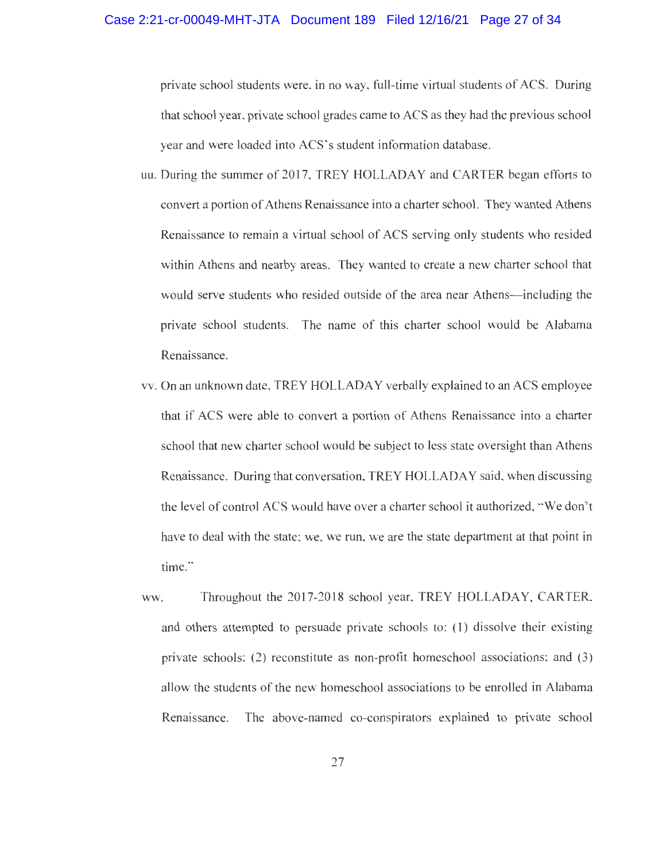#### Case 2:21-cr-00049-MHT-JTA Document 189 Filed 12/16/21 Page 27 of 34

private school students were, in no way, full-time virtual students of ACS. During that school year, private school grades came to ACS as they had the previous school year and were loaded into ACS's student information database.

- uu. During the summer of 2017, TREY HOLLADAY and CARTER began efforts to convert a portion of Athens Renaissance into a charter school. They wanted Athens Renaissance to remain a virtual school of ACS serving only students who resided within Athens and nearby areas. They wanted to create a new charter school that would serve students who resided outside of the area near Athens—including the private school students. The name of this charter school would be Alabama Renaissance.
- vv. On an unknown date, TREY HOLLADAY verbally explained to an ACS employee that if ACS were able to convert a portion of Athens Renaissance into a charter school that new charter school would be subject to less state oversight than Athens Renaissance. During that conversation, TREY HOLLADAY said, when discussing the level of control ACS would have over a charter school it authorized, "We don't have to deal with the state; we, we run, we are the state department at that point in time."
- ww. Throughout the 2017-2018 school year, TREY HOLLADAY, CARTER, and others attempted to persuade private schools to: (1) dissolve their existing private schools; (2) reconstitute as non-profit homeschool associations: and (3) allow the students of the new homeschool associations to be enrolled in Alabama Renaissance. The above-named co-conspirators explained to private school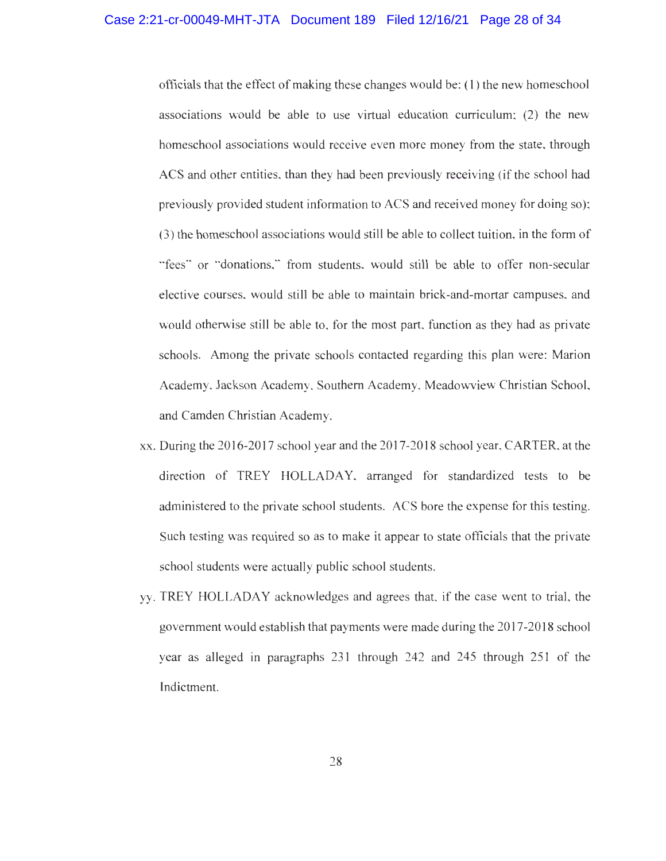officials that the effect of making these changes would be: (1) the new homeschool associations would be able to use virtual education curriculum; (2) the new homeschool associations would receive even more money from the state, through ACS and other entities, than they had been previously receiving (if the school had previously provided student information to ACS and received money for doing so); (3) the homeschool associations would still be able to collect tuition, in the form of "fees" or "donations," from students, would still be able to offer non-secular elective courses, would still be able to maintain brick-and-mortar campuses, and would otherwise still be able to, for the most part, function as they had as private schools. Among the private schools contacted regarding this plan were: Marion Academy, Jackson Academy, Southern Academy, Meadowview Christian School, and Camden Christian Academy.

- xx. During the 2016-2017 school year and the 2017-2018 school year, CARTER, at the direction of TREY HOLLADAY, arranged for standardized tests to be administered to the private school students. ACS bore the expense for this testing. Such testing was required so as to make it appear to state officials that the private school students were actually public school students.
- yy. TREY HOLLADAY acknowledges and agrees that, if the case went to trial, the government would establish that payments were made during the 2017-2018 school year as alleged in paragraphs 231 through 242 and 245 through 251 of the Indictment.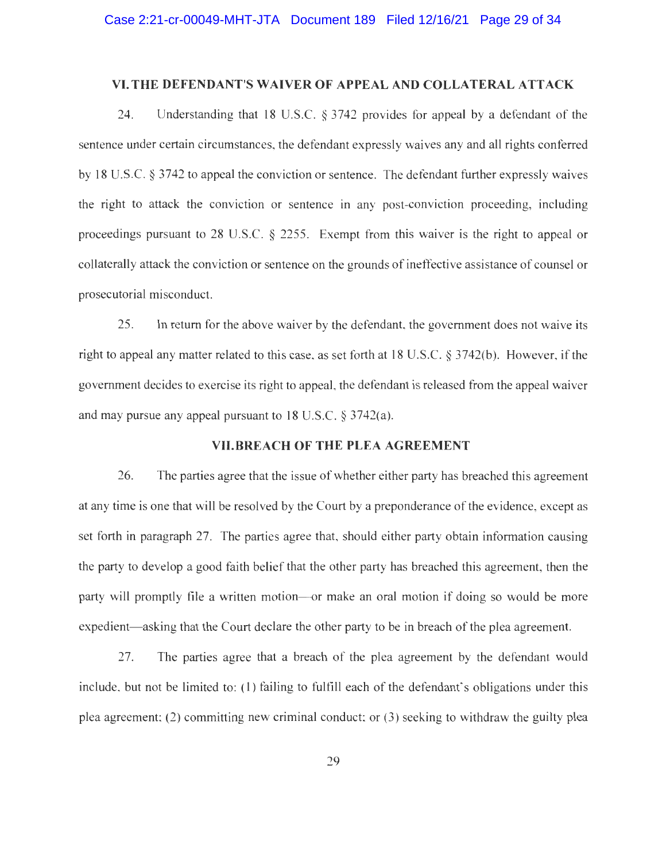### VI.THE DEFENDANT'S WAIVER OF APPEAL AND COLLATERAL ATTACK

24. Understanding that 18 U.S.C. § 3742 provides for appeal by a defendant of the sentence under certain circumstances, the defendant expressly waives any and all rights conferred by 18 U.S.C. § 3742 to appeal the conviction or sentence. The defendant further expressly waives the right to attack the conviction or sentence in any post-conviction proceeding, including proceedings pursuant to 28 U.S.C. § 2255. Exempt from this waiver is the right to appeal or collaterally attack the conviction or sentence on the grounds of ineffective assistance of counsel or prosecutorial misconduct.

25. In return for the above waiver by the defendant, the government does not waive its right to appeal any matter related to this case, as set forth at 18 U.S.C. § 3742(b). However, if the governrnent decides to exercise its right to appeal, the defendant is released from the appeal waiver and may pursue any appeal pursuant to 18 U.S.C. § 3742(a).

## VII.BREACH OF THE PLEA AGREEMENT

26. The parties agree that the issue of whether either party has breached this agreement at any time is one that will be resolved by the Court by a preponderance of the evidence, except as set forth in paragraph 27. The parties agree that, should either party obtain information causing the party to develop a good faith belief that the other party has breached this agreement, then the party will promptly file a written motion—or make an oral motion if doing so would be more expedient—asking that the Court declare the other party to be in breach of the plea agreement.

27. The parties agree that a breach of the plea agreement by the defendant would include, but not be limited to: (1) failing to fulfill each of the defendant's obligations under this plea agreement: (2) committing new criminal conduct: or (3) seeking to withdraw the guilty plea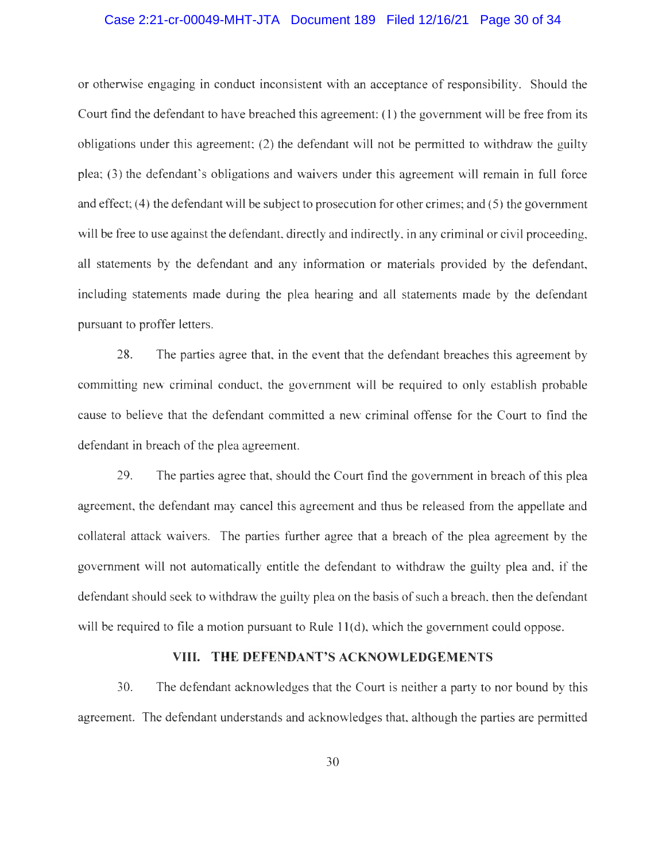### Case 2:21-cr-00049-MHT-JTA Document 189 Filed 12/16/21 Page 30 of 34

or otherwise engaging in conduct inconsistent with an acceptance of responsibility. Should the Court find the defendant to have breached this agreement: (1) the government will be free from its obligations under this agreement; (2) the defendant will not be permitted to withdraw the guilty plea; (3) the defendant's obligations and waivers under this agreement will remain in full force and effect; (4) the defendant will be subject to prosecution for other crimes; and (5) the government will be free to use against the defendant, directly and indirectly, in any criminal or civil proceeding, all statements by the defendant and any information or materials provided by the defendant, including statements made during the plea hearing and all statements made by the defendant pursuant to proffer letters.

28. The parties agree that, in the event that the defendant breaches this agreement by committing new criminal conduct, the government will be required to only establish probable cause to believe that the defendant committed a new criminal offense for the Court to find the defendant in breach of the plea agreement.

29. The parties agree that, should the Court find the government in breach of this plea agreement, the defendant may cancel this agreement and thus be released from the appellate and collateral attack waivers. The parties further agree that a breach of the plea agreement by the government will not automatically entitle the defendant to withdraw the guilty plea and, if the defendant should seek to withdraw the guilty plea on the basis of such a breach, then the defendant will be required to file a motion pursuant to Rule 11(d), which the government could oppose.

### VIII. THE DEFENDANT'S ACKNOWLEDGEMENTS

30. The defendant acknowledges that the Court is neither a party to nor bound by this agreement. The defendant understands and acknowledges that, although the parties are permitted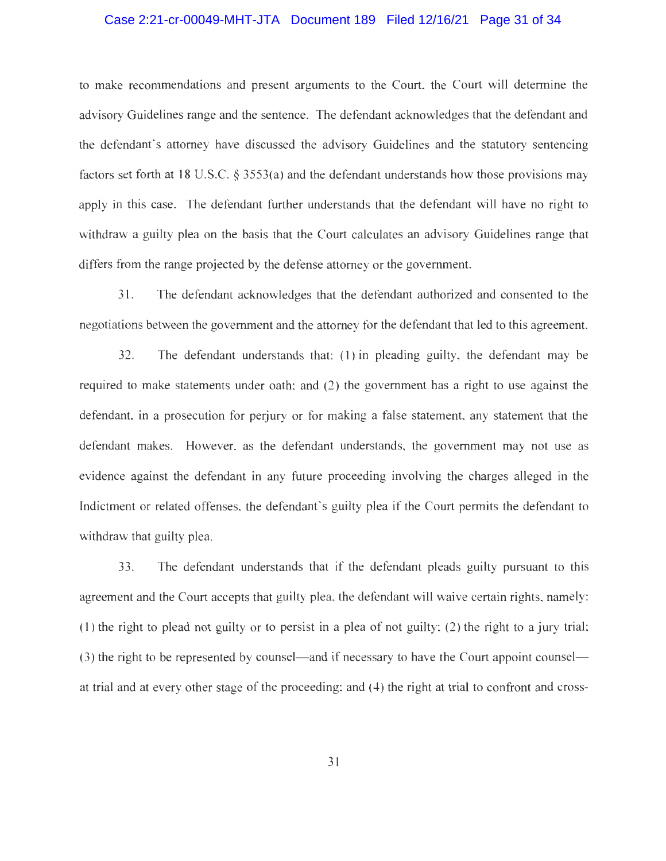### Case 2:21-cr-00049-MHT-JTA Document 189 Filed 12/16/21 Page 31 of 34

to make recommendations and present arguments to the Court, the Court will determine the advisory Guidelines range and the sentence. The defendant acknowledges that the defendant and the defendant's attorney have discussed the advisory Guidelines and the statutory sentencing factors set forth at 18 U.S.C. § 3553(a) and the defendant understands how those provisions may apply in this case. The defendant further understands that the defendant will have no right to withdraw a guilty plea on the basis that the Court calculates an advisory Guidelines range that differs from the range projected by the defense attorney or the government.

31. The defendant acknowledges that the defendant authorized and consented to the negotiations between the government and the attorney for the defendant that led to this agreement.

32. The defendant understands that: (1) in pleading guilty, the defendant may be required to make statements under oath; and (2) the government has a right to use against the defendant, in a prosecution for perjury or for making a false statement, any statement that the defendant makes. However, as the defendant understands, the government may not use as evidence against the defendant in any future proceeding involving the charges alleged in the Indictment or related offenses, the defendant's guilty plea if the Court permits the defendant to withdraw that guilty plea.

33. The defendant understands that if the defendant pleads guilty pursuant to this agreement and the Court accepts that guilty plea, the defendant will waive certain rights, namely: (1) the right to plead not guilty or to persist in a plea of not guilty: (2) the right to a jury trial; (3) the right to be represented by counsel—and if necessary to have the Court appoint counsel at trial and at every other stage of the proceeding; and (4) the right at trial to confront and cross-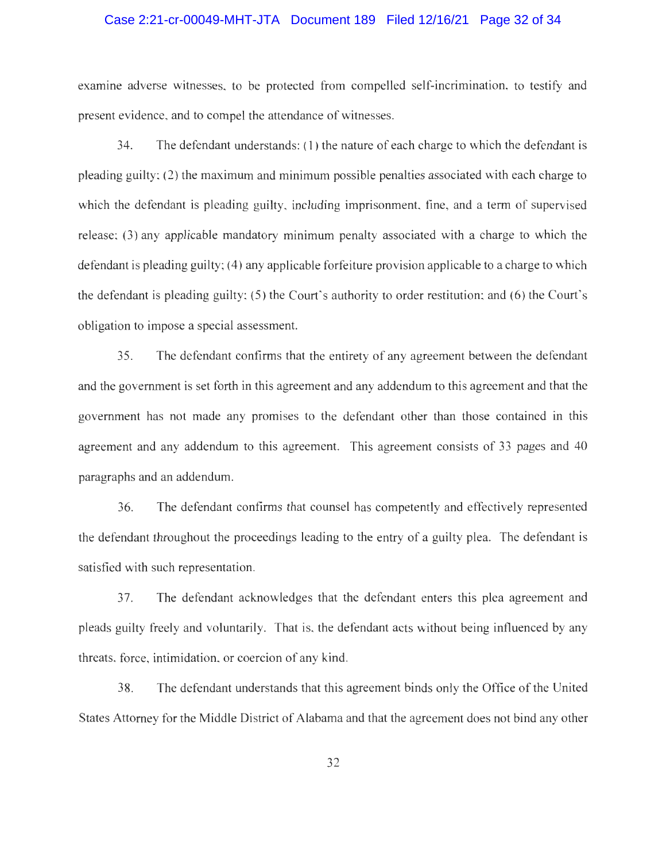### Case 2:21-cr-00049-MHT-JTA Document 189 Filed 12/16/21 Page 32 of 34

examine adverse witnesses, to be protected from compelled self-incrimination, to testify and present evidence, and to compel the attendance of witnesses.

34. The defendant understands: (1) the nature of each charge to which the defendant is pleading guilty; (2) the maximum and minimum possible penalties associated with each charge to which the defendant is pleading guilty, including imprisonment, fine, and a term of supervised release; (3) any applicable mandatory minimum penalty associated with a charge to which the defendant is pleading guilty; (4) any applicable forfeiture provision applicable to a charge to which the defendant is pleading guilty;  $(5)$  the Court's authority to order restitution; and  $(6)$  the Court's obligation to impose a special assessment.

35. The defendant confirms that the entirety of any agreement between the defendant and the government is set forth in this agreement and any addendum to this agreement and that the government has not made any promises to the defendant other than those contained in this agreement and any addendum to this agreement. This agreement consists of 33 pages and 40 paragraphs and an addendum.

36. The defendant confirms that counsel has competently and effectively represented the defendant throughout the proceedings leading to the entry of a guilty plea. The defendant is satisfied with such representation.

37. The defendant acknowledges that the defendant enters this plea agreement and pleads guilty freely and voluntarily. That is, the defendant acts without being influenced by any threats, force, intimidation, or coercion of any kind.

38. The defendant understands that this agreement binds only the Office of the United States Attorney for the Middle District of Alabama and that the agreement does not bind any other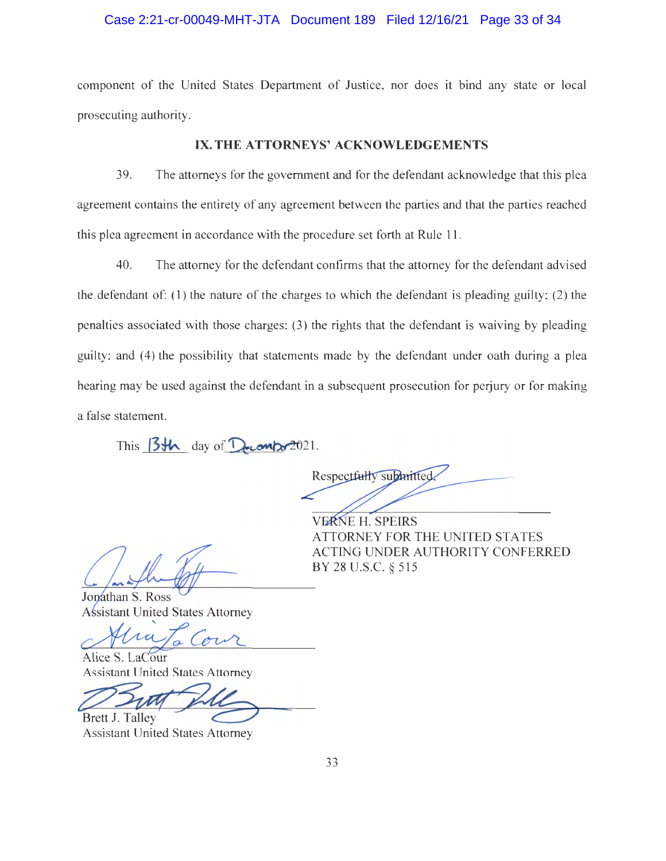### Case 2:21-cr-00049-MHT-JTA Document 189 Filed 12/16/21 Page 33 of 34

component of the United States Department of Justice, nor does it bind any state or local prosecuting authority.

### IX. THE ATTORNEYS' ACKNOWLEDGEMENTS

39. The attorneys for the government and for the defendant acknowledge that this plea agreement contains the entirety of any agreement between the parties and that the parties reached this plea agreement in accordance with the procedure set forth at Rule 11.

40. The attorney for the defendant confirms that the attorney for the defendant advised the defendant of: (1) the nature of the charges to which the defendant is pleading guilty; (2) the penalties associated with those charges; (3) the rights that the defendant is waiving by pleading guilty; and (4) the possibility that statements made by the defendant under oath during a plea hearing may be used against the defendant in a subsequent prosecution for perjury or for making a false statement.

This  $13\text{th}$  day of  $D_{\text{e}}$   $\text{cm}/2021$ .

Respectfully submitted.

**VERNE H. SPEIRS** ATTORNEY FOR THE UNITED STATES ACTING UNDER AUTHORITY CONFERRED BY 28 U.S.C. § 515

Jonathan S. Ross **Assistant United States Attorney** 

Alice S. LaCour Assistant United States Attorney

Brett J. Talley

Assistant United States Attorney